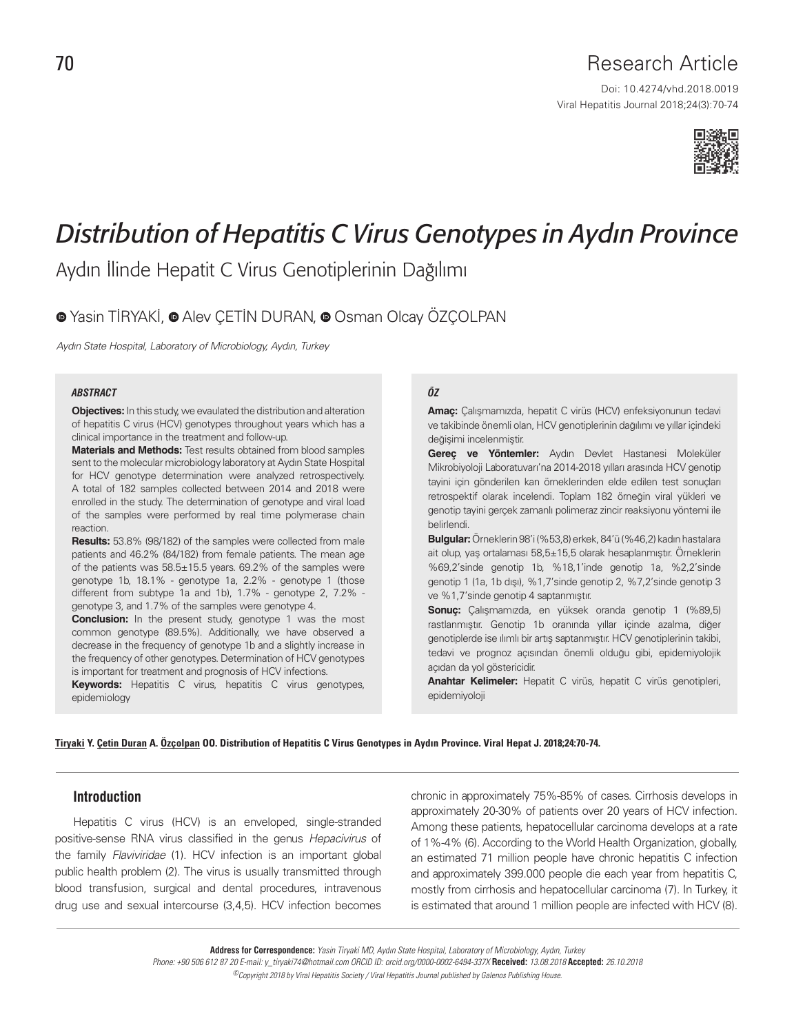# 70 Research Article

Viral Hepatitis Journal 2018;24(3):70-74 Doi: 10.4274/vhd.2018.0019



# *Distribution of Hepatitis C Virus Genotypes in Aydın Province*

Aydın İlinde Hepatit C Virus Genotiplerinin Dağılımı

## $\bullet$ Yasin TİRYAKİ,  $\bullet$  Alev CETİN DURAN,  $\bullet$  Osman Olcay ÖZÇOLPAN

Aydın State Hospital, Laboratory of Microbiology, Aydın, Turkey

#### *ABSTRACT ÖZ*

**Objectives:** In this study, we evaulated the distribution and alteration of hepatitis C virus (HCV) genotypes throughout years which has a clinical importance in the treatment and follow-up.

**Materials and Methods:** Test results obtained from blood samples sent to the molecular microbiology laboratory at Aydın State Hospital for HCV genotype determination were analyzed retrospectively. A total of 182 samples collected between 2014 and 2018 were enrolled in the study. The determination of genotype and viral load of the samples were performed by real time polymerase chain reaction.

**Results:** 53.8% (98/182) of the samples were collected from male patients and 46.2% (84/182) from female patients. The mean age of the patients was 58.5±15.5 years. 69.2% of the samples were genotype 1b, 18.1% - genotype 1a, 2.2% - genotype 1 (those different from subtype 1a and 1b), 1.7% - genotype 2, 7.2% genotype 3, and 1.7% of the samples were genotype 4.

**Conclusion:** In the present study, genotype 1 was the most common genotype (89.5%). Additionally, we have observed a decrease in the frequency of genotype 1b and a slightly increase in the frequency of other genotypes. Determination of HCV genotypes is important for treatment and prognosis of HCV infections.

**Keywords:** Hepatitis C virus, hepatitis C virus genotypes, epidemiology

**Amaç:** Çalışmamızda, hepatit C virüs (HCV) enfeksiyonunun tedavi ve takibinde önemli olan, HCV genotiplerinin dağılımı ve yıllar içindeki değişimi incelenmiştir.

**Gereç ve Yöntemler:** Aydın Devlet Hastanesi Moleküler Mikrobiyoloji Laboratuvarı'na 2014-2018 yılları arasında HCV genotip tayini için gönderilen kan örneklerinden elde edilen test sonuçları retrospektif olarak incelendi. Toplam 182 örneğin viral yükleri ve genotip tayini gerçek zamanlı polimeraz zincir reaksiyonu yöntemi ile belirlendi.

**Bulgular:** Örneklerin 98'i (%53,8) erkek, 84'ü (%46,2) kadın hastalara ait olup, yaş ortalaması 58,5±15,5 olarak hesaplanmıştır. Örneklerin %69,2'sinde genotip 1b, %18,1'inde genotip 1a, %2,2'sinde genotip 1 (1a, 1b dışı), %1,7'sinde genotip 2, %7,2'sinde genotip 3 ve %1,7'sinde genotip 4 saptanmıştır.

**Sonuç:** Çalışmamızda, en yüksek oranda genotip 1 (%89,5) rastlanmıştır. Genotip 1b oranında yıllar içinde azalma, diğer genotiplerde ise ılımlı bir artış saptanmıştır. HCV genotiplerinin takibi, tedavi ve prognoz açısından önemli olduğu gibi, epidemiyolojik açıdan da yol göstericidir.

**Anahtar Kelimeler:** Hepatit C virüs, hepatit C virüs genotipleri, epidemiyoloji

Tiryaki Y. Çetin Duran A. Özçolpan OO. Distribution of Hepatitis C Virus Genotypes in Aydın Province. Viral Hepat J. 2018;24:70-74.

#### **Introduction**

Hepatitis C virus (HCV) is an enveloped, single-stranded positive-sense RNA virus classified in the genus Hepacivirus of the family Flaviviridae (1). HCV infection is an important global public health problem (2). The virus is usually transmitted through blood transfusion, surgical and dental procedures, intravenous drug use and sexual intercourse (3,4,5). HCV infection becomes chronic in approximately 75%-85% of cases. Cirrhosis develops in approximately 20-30% of patients over 20 years of HCV infection. Among these patients, hepatocellular carcinoma develops at a rate of 1%-4% (6). According to the World Health Organization, globally, an estimated 71 million people have chronic hepatitis C infection and approximately 399.000 people die each year from hepatitis C, mostly from cirrhosis and hepatocellular carcinoma (7). In Turkey, it is estimated that around 1 million people are infected with HCV (8).

**Address for Correspondence:** Yasin Tiryaki MD, Aydın State Hospital, Laboratory of Microbiology, Aydın, Turkey Phone: +90 506 612 87 20 E-mail: y\_tiryaki74@hotmail.com ORCID ID: orcid.org/0000-0002-6494-337X **Received:** 13.08.2018 **Accepted:** 26.10.2018 ©Copyright 2018 by Viral Hepatitis Society / Viral Hepatitis Journal published by Galenos Publishing House.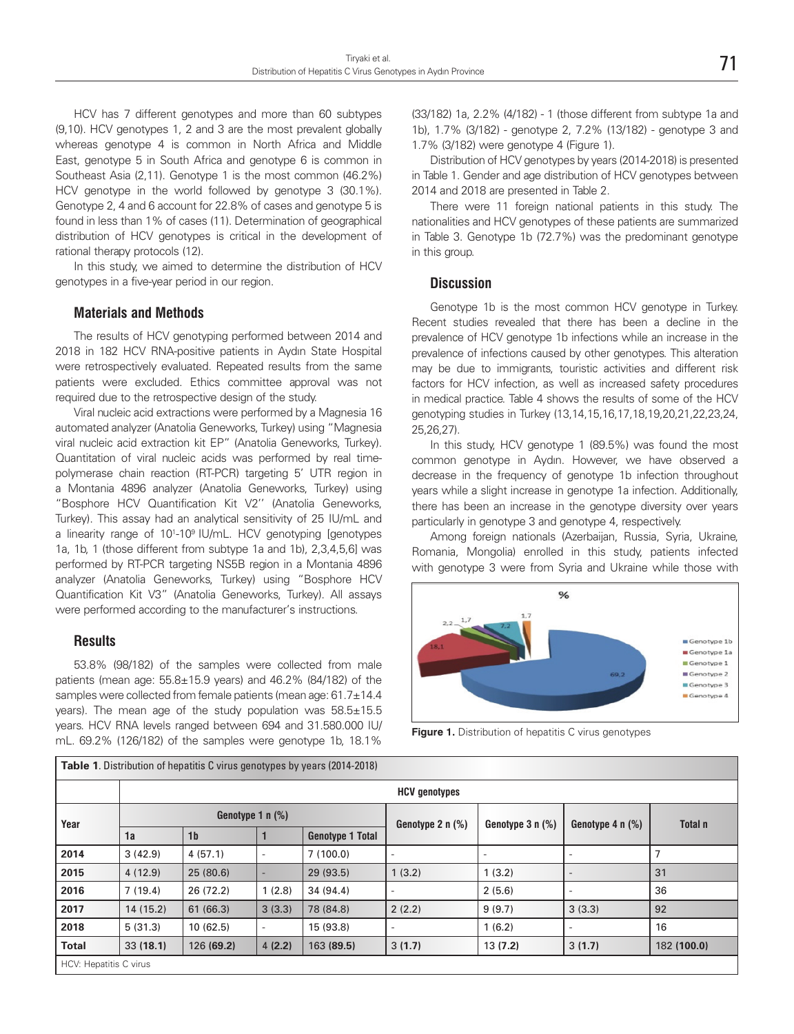HCV has 7 different genotypes and more than 60 subtypes (9,10). HCV genotypes 1, 2 and 3 are the most prevalent globally whereas genotype 4 is common in North Africa and Middle East, genotype 5 in South Africa and genotype 6 is common in Southeast Asia (2,11). Genotype 1 is the most common (46.2%) HCV genotype in the world followed by genotype 3 (30.1%). Genotype 2, 4 and 6 account for 22.8% of cases and genotype 5 is found in less than 1% of cases (11). Determination of geographical distribution of HCV genotypes is critical in the development of rational therapy protocols (12).

In this study, we aimed to determine the distribution of HCV genotypes in a five-year period in our region.

#### **Materials and Methods**

The results of HCV genotyping performed between 2014 and 2018 in 182 HCV RNA-positive patients in Aydın State Hospital were retrospectively evaluated. Repeated results from the same patients were excluded. Ethics committee approval was not required due to the retrospective design of the study.

Viral nucleic acid extractions were performed by a Magnesia 16 automated analyzer (Anatolia Geneworks, Turkey) using "Magnesia viral nucleic acid extraction kit EP" (Anatolia Geneworks, Turkey). Quantitation of viral nucleic acids was performed by real timepolymerase chain reaction (RT-PCR) targeting 5' UTR region in a Montania 4896 analyzer (Anatolia Geneworks, Turkey) using "Bosphore HCV Quantification Kit V2'' (Anatolia Geneworks, Turkey). This assay had an analytical sensitivity of 25 IU/mL and a linearity range of 10<sup>1</sup>-10<sup>9</sup> IU/mL. HCV genotyping [genotypes 1a, 1b, 1 (those different from subtype 1a and 1b), 2,3,4,5,6] was performed by RT-PCR targeting NS5B region in a Montania 4896 analyzer (Anatolia Geneworks, Turkey) using "Bosphore HCV Quantification Kit V3" (Anatolia Geneworks, Turkey). All assays were performed according to the manufacturer's instructions.

#### **Results**

53.8% (98/182) of the samples were collected from male patients (mean age: 55.8±15.9 years) and 46.2% (84/182) of the samples were collected from female patients (mean age: 61.7±14.4 years). The mean age of the study population was 58.5±15.5 years. HCV RNA levels ranged between 694 and 31.580.000 IU/ mL. 69.2% (126/182) of the samples were genotype 1b, 18.1%

(33/182) 1a, 2.2% (4/182) - 1 (those different from subtype 1a and 1b), 1.7% (3/182) - genotype 2, 7.2% (13/182) - genotype 3 and 1.7% (3/182) were genotype 4 (Figure 1).

Distribution of HCV genotypes by years (2014-2018) is presented in Table 1. Gender and age distribution of HCV genotypes between 2014 and 2018 are presented in Table 2.

There were 11 foreign national patients in this study. The nationalities and HCV genotypes of these patients are summarized in Table 3. Genotype 1b (72.7%) was the predominant genotype in this group.

#### **Discussion**

Genotype 1b is the most common HCV genotype in Turkey. Recent studies revealed that there has been a decline in the prevalence of HCV genotype 1b infections while an increase in the prevalence of infections caused by other genotypes. This alteration may be due to immigrants, touristic activities and different risk factors for HCV infection, as well as increased safety procedures in medical practice. Table 4 shows the results of some of the HCV genotyping studies in Turkey (13,14,15,16,17,18,19,20,21,22,23,24, 25,26,27).

In this study, HCV genotype 1 (89.5%) was found the most common genotype in Aydın. However, we have observed a decrease in the frequency of genotype 1b infection throughout years while a slight increase in genotype 1a infection. Additionally, there has been an increase in the genotype diversity over years particularly in genotype 3 and genotype 4, respectively.

Among foreign nationals (Azerbaijan, Russia, Syria, Ukraine, Romania, Mongolia) enrolled in this study, patients infected with genotype 3 were from Syria and Ukraine while those with



**Figure 1.** Distribution of hepatitis C virus genotypes

| <b>Table 1.</b> Distribution of hepatitis C virus genotypes by years (2014-2018) |                      |                |                          |                         |                    |                        |                                  |             |  |  |
|----------------------------------------------------------------------------------|----------------------|----------------|--------------------------|-------------------------|--------------------|------------------------|----------------------------------|-------------|--|--|
|                                                                                  | <b>HCV</b> genotypes |                |                          |                         |                    |                        |                                  |             |  |  |
| Year                                                                             | Genotype $1 n (\%)$  |                |                          |                         | Genotype 2 $n$ (%) | Genotype $3 \nvert 96$ | Genotype $4 \, \text{n} \, (\%)$ | Total n     |  |  |
|                                                                                  | 1a                   | 1 <sub>b</sub> |                          | <b>Genotype 1 Total</b> |                    |                        |                                  |             |  |  |
| 2014                                                                             | 3(42.9)              | 4(57.1)        | $\overline{\phantom{a}}$ | 7(100.0)                |                    |                        | $\overline{\phantom{a}}$         |             |  |  |
| 2015                                                                             | 4(12.9)              | 25(80.6)       |                          | 29(93.5)                | 1(3.2)             | 1(3.2)                 |                                  | 31          |  |  |
| 2016                                                                             | 7(19.4)              | 26(72.2)       | 1(2.8)                   | 34(94.4)                |                    | 2(5.6)                 | $\overline{\phantom{a}}$         | 36          |  |  |
| 2017                                                                             | 14(15.2)             | 61 (66.3)      | 3(3.3)                   | 78 (84.8)               | 2(2.2)             | 9(9.7)                 | 3(3.3)                           | 92          |  |  |
| 2018                                                                             | 5(31.3)              | 10(62.5)       | $\overline{\phantom{a}}$ | 15 (93.8)               |                    | 1(6.2)                 | $\overline{\phantom{a}}$         | 16          |  |  |
| <b>Total</b>                                                                     | 33(18.1)             | 126 (69.2)     | 4(2.2)                   | 163 (89.5)              | 3(1.7)             | 13(7.2)                | 3(1.7)                           | 182 (100.0) |  |  |
| HCV: Hepatitis C virus                                                           |                      |                |                          |                         |                    |                        |                                  |             |  |  |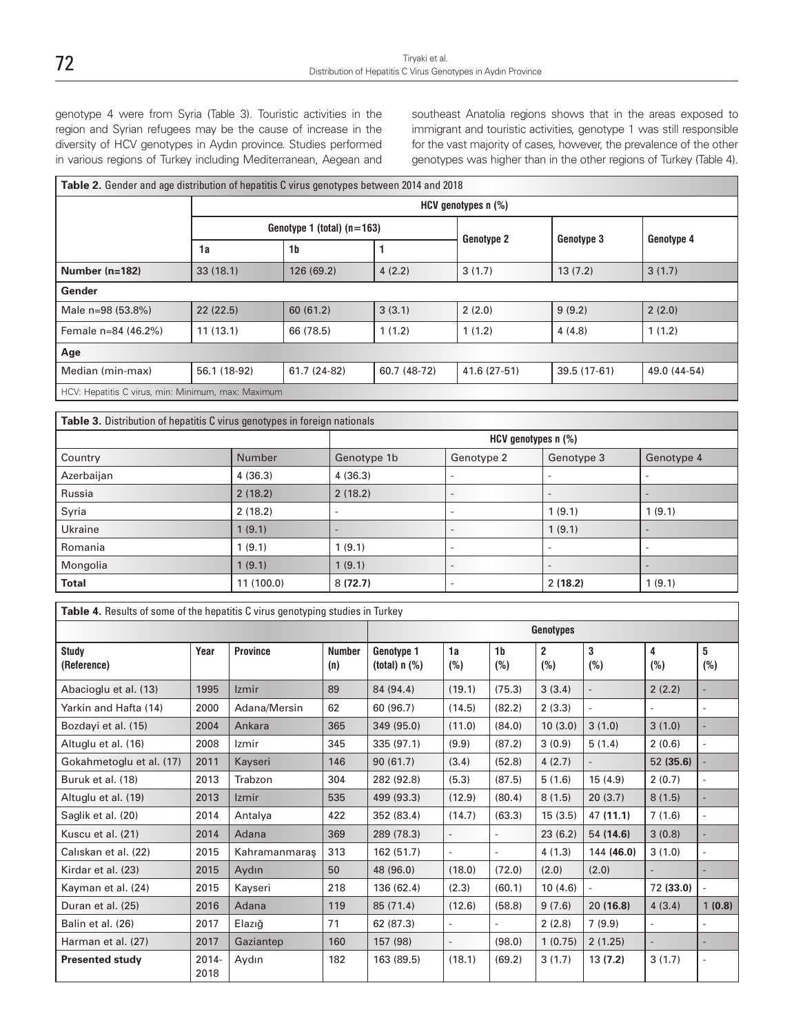genotype 4 were from Syria (Table 3). Touristic activities in the region and Syrian refugees may be the cause of increase in the diversity of HCV genotypes in Aydın province. Studies performed in various regions of Turkey including Mediterranean, Aegean and

southeast Anatolia regions shows that in the areas exposed to immigrant and touristic activities, genotype 1 was still responsible for the vast majority of cases, however, the prevalence of the other genotypes was higher than in the other regions of Turkey (Table 4).

### **Table 2.** Gender and age distribution of hepatitis C virus genotypes between 2014 and 2018

|                                                    |          | $HCV$ genotypes n $(\%)$     |              |                   |              |              |  |  |  |
|----------------------------------------------------|----------|------------------------------|--------------|-------------------|--------------|--------------|--|--|--|
|                                                    |          | Genotype 1 (total) $(n=163)$ |              |                   |              |              |  |  |  |
|                                                    | 1a       | 1 <sub>b</sub>               |              | <b>Genotype 2</b> | Genotype 3   | Genotype 4   |  |  |  |
| Number (n=182)                                     | 33(18.1) | 126 (69.2)                   | 4(2.2)       | 3(1.7)            | 13(7.2)      | 3(1.7)       |  |  |  |
| Gender                                             |          |                              |              |                   |              |              |  |  |  |
| Male n=98 (53.8%)                                  | 22(22.5) | 60(61.2)                     | 3(3.1)       | 2(2.0)            | 9(9.2)       | 2(2.0)       |  |  |  |
| Female n=84 (46.2%)                                | 11(13.1) | 66 (78.5)                    | 1(1.2)       | 1(1.2)            | 4(4.8)       | 1(1.2)       |  |  |  |
| Age                                                |          |                              |              |                   |              |              |  |  |  |
| Median (min-max)<br>56.1 (18-92)                   |          | 61.7 (24-82)                 | 60.7 (48-72) | 41.6 (27-51)      | 39.5 (17-61) | 49.0 (44-54) |  |  |  |
| HCV: Hepatitis C virus, min: Minimum, max: Maximum |          |                              |              |                   |              |              |  |  |  |

**Table 3.** Distribution of hepatitis C virus genotypes in foreign nationals

|              | HCV genotypes n (%) |             |                          |                          |                          |  |  |
|--------------|---------------------|-------------|--------------------------|--------------------------|--------------------------|--|--|
| Country      | Number              | Genotype 1b | Genotype 2               | Genotype 3               | Genotype 4               |  |  |
| Azerbaijan   | 4(36.3)             | 4(36.3)     |                          |                          |                          |  |  |
| Russia       | 2(18.2)             | 2(18.2)     | $\overline{\phantom{a}}$ |                          |                          |  |  |
| Syria        | 2(18.2)             |             | $\overline{\phantom{a}}$ | 1(9.1)                   | 1(9.1)                   |  |  |
| Ukraine      | 1(9.1)              |             | $\overline{\phantom{a}}$ | 1(9.1)                   |                          |  |  |
| Romania      | 1(9.1)              | 1(9.1)      | -                        | $\overline{\phantom{a}}$ | $\overline{\phantom{a}}$ |  |  |
| Mongolia     | 1(9.1)              | 1(9.1)      | $\overline{\phantom{a}}$ | $\overline{\phantom{a}}$ |                          |  |  |
| <b>Total</b> | 11(100.0)           | 8(72.7)     | -                        | 2(18.2)                  | 1(9.1)                   |  |  |

| <b>Table 4.</b> Results of some of the hepatitis C virus genotyping studies in Turkey |               |                 |                      |                               |                          |                          |                       |             |                          |          |
|---------------------------------------------------------------------------------------|---------------|-----------------|----------------------|-------------------------------|--------------------------|--------------------------|-----------------------|-------------|--------------------------|----------|
|                                                                                       |               |                 |                      | Genotypes                     |                          |                          |                       |             |                          |          |
| <b>Study</b><br>(Reference)                                                           | Year          | <b>Province</b> | <b>Number</b><br>(n) | Genotype 1<br>(total) $n$ (%) | 1a<br>$(\%)$             | 1 <sub>b</sub><br>$(\%)$ | $\overline{2}$<br>(%) | 3<br>$(\%)$ | 4<br>$(\%)$              | 5<br>(%) |
| Abacioglu et al. (13)                                                                 | 1995          | <b>Izmir</b>    | 89                   | 84 (94.4)                     | (19.1)                   | (75.3)                   | 3(3.4)                |             | 2(2.2)                   |          |
| Yarkin and Hafta (14)                                                                 | 2000          | Adana/Mersin    | 62                   | 60 (96.7)                     | (14.5)                   | (82.2)                   | 2(3.3)                |             |                          |          |
| Bozdayi et al. (15)                                                                   | 2004          | Ankara          | 365                  | 349 (95.0)                    | (11.0)                   | (84.0)                   | 10(3.0)               | 3(1.0)      | 3(1.0)                   |          |
| Altuglu et al. (16)                                                                   | 2008          | Izmir           | 345                  | 335 (97.1)                    | (9.9)                    | (87.2)                   | 3(0.9)                | 5(1.4)      | 2(0.6)                   |          |
| Gokahmetoglu et al. (17)                                                              | 2011          | Kayseri         | 146                  | 90(61.7)                      | (3.4)                    | (52.8)                   | 4(2.7)                |             | 52(35.6)                 |          |
| Buruk et al. (18)                                                                     | 2013          | Trabzon         | 304                  | 282 (92.8)                    | (5.3)                    | (87.5)                   | 5(1.6)                | 15(4.9)     | 2(0.7)                   |          |
| Altuglu et al. (19)                                                                   | 2013          | <b>Izmir</b>    | 535                  | 499 (93.3)                    | (12.9)                   | (80.4)                   | 8(1.5)                | 20(3.7)     | 8(1.5)                   |          |
| Saglik et al. (20)                                                                    | 2014          | Antalya         | 422                  | 352 (83.4)                    | (14.7)                   | (63.3)                   | 15(3.5)               | 47 (11.1)   | 7(1.6)                   |          |
| Kuscu et al. (21)                                                                     | 2014          | Adana           | 369                  | 289 (78.3)                    |                          |                          | 23(6.2)               | 54 (14.6)   | 3(0.8)                   |          |
| Caliskan et al. (22)                                                                  | 2015          | Kahramanmaras   | 313                  | 162(51.7)                     |                          | $\overline{a}$           | 4(1.3)                | 144 (46.0)  | 3(1.0)                   |          |
| Kirdar et al. (23)                                                                    | 2015          | Aydın           | 50                   | 48 (96.0)                     | (18.0)                   | (72.0)                   | (2.0)                 | (2.0)       |                          |          |
| Kayman et al. (24)                                                                    | 2015          | Kayseri         | 218                  | 136 (62.4)                    | (2.3)                    | (60.1)                   | 10(4.6)               |             | 72 (33.0)                |          |
| Duran et al. (25)                                                                     | 2016          | Adana           | 119                  | 85 (71.4)                     | (12.6)                   | (58.8)                   | 9(7.6)                | 20(16.8)    | 4(3.4)                   | 1(0.8)   |
| Balin et al. (26)                                                                     | 2017          | Elazığ          | 71                   | 62 (87.3)                     |                          |                          | 2(2.8)                | 7(9.9)      | $\overline{\phantom{0}}$ |          |
| Harman et al. (27)                                                                    | 2017          | Gaziantep       | 160                  | 157 (98)                      | $\overline{\phantom{0}}$ | (98.0)                   | 1(0.75)               | 2(1.25)     |                          |          |
| <b>Presented study</b>                                                                | 2014-<br>2018 | Aydın           | 182                  | 163 (89.5)                    | (18.1)                   | (69.2)                   | 3(1.7)                | 13(7.2)     | 3(1.7)                   |          |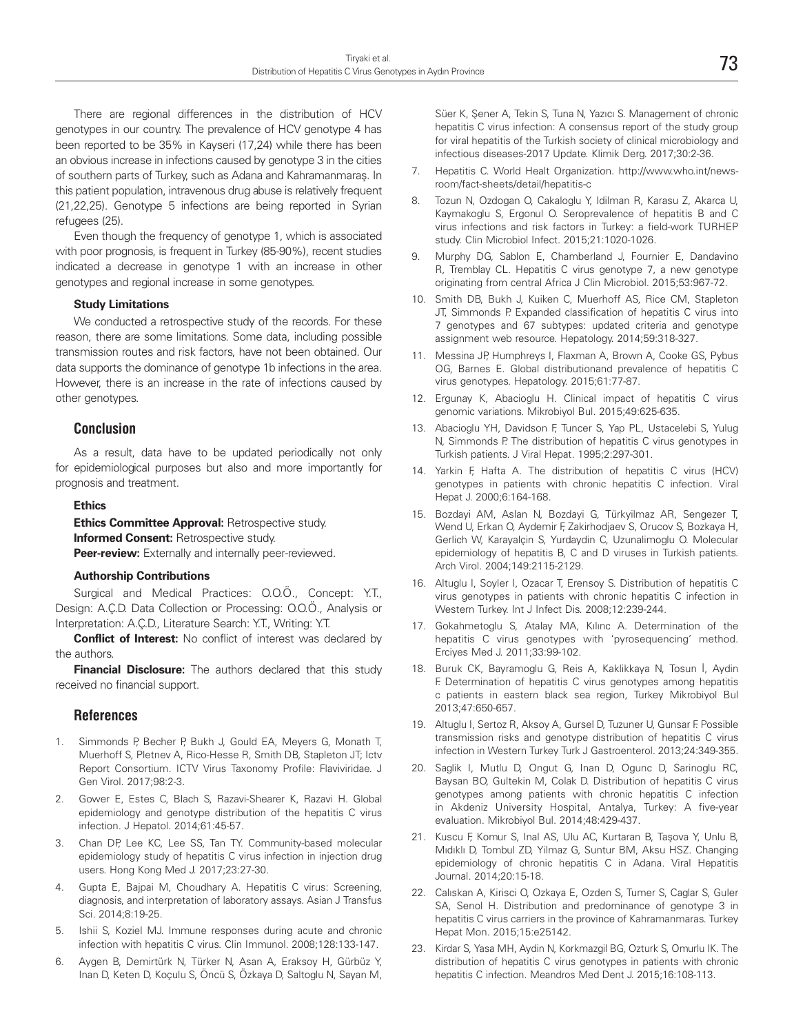There are regional differences in the distribution of HCV genotypes in our country. The prevalence of HCV genotype 4 has been reported to be 35% in Kayseri (17,24) while there has been an obvious increase in infections caused by genotype 3 in the cities of southern parts of Turkey, such as Adana and Kahramanmaraş. In this patient population, intravenous drug abuse is relatively frequent (21,22,25). Genotype 5 infections are being reported in Syrian refugees (25).

Even though the frequency of genotype 1, which is associated with poor prognosis, is frequent in Turkey (85-90%), recent studies indicated a decrease in genotype 1 with an increase in other genotypes and regional increase in some genotypes.

#### **Study Limitations**

We conducted a retrospective study of the records. For these reason, there are some limitations. Some data, including possible transmission routes and risk factors, have not been obtained. Our data supports the dominance of genotype 1b infections in the area. However, there is an increase in the rate of infections caused by other genotypes.

#### **Conclusion**

As a result, data have to be updated periodically not only for epidemiological purposes but also and more importantly for prognosis and treatment.

#### **Ethics**

**Ethics Committee Approval: Retrospective study. Informed Consent: Retrospective study. Peer-review:** Externally and internally peer-reviewed.

#### **Authorship Contributions**

Surgical and Medical Practices: O.O.Ö., Concept: Y.T., Design: A.Ç.D. Data Collection or Processing: O.O.Ö., Analysis or Interpretation: A.Ç.D., Literature Search: Y.T., Writing: Y.T.

**Conflict of Interest:** No conflict of interest was declared by the authors.

**Financial Disclosure:** The authors declared that this study received no financial support.

#### **References**

- 1. Simmonds P, Becher P, Bukh J, Gould EA, Meyers G, Monath T, Muerhoff S, Pletnev A, Rico-Hesse R, Smith DB, Stapleton JT; Ictv Report Consortium. ICTV Virus Taxonomy Profile: Flaviviridae. J Gen Virol. 2017;98:2-3.
- 2. Gower E, Estes C, Blach S, Razavi-Shearer K, Razavi H. Global epidemiology and genotype distribution of the hepatitis C virus infection. J Hepatol. 2014;61:45-57.
- 3. Chan DP, Lee KC, Lee SS, Tan TY. Community-based molecular epidemiology study of hepatitis C virus infection in injection drug users. Hong Kong Med J. 2017;23:27-30.
- 4. Gupta E, Bajpai M, Choudhary A. Hepatitis C virus: Screening, diagnosis, and interpretation of laboratory assays. Asian J Transfus Sci. 2014;8:19-25.
- 5. Ishii S, Koziel MJ. Immune responses during acute and chronic infection with hepatitis C virus. Clin Immunol. 2008;128:133-147.
- 6. Aygen B, Demirtürk N, Türker N, Asan A, Eraksoy H, Gürbüz Y, Inan D, Keten D, Koçulu S, Öncü S, Özkaya D, Saltoglu N, Sayan M,

Süer K, Şener A, Tekin S, Tuna N, Yazıcı S. Management of chronic hepatitis C virus infection: A consensus report of the study group for viral hepatitis of the Turkish society of clinical microbiology and infectious diseases-2017 Update. Klimik Derg. 2017;30:2-36.

- 7. Hepatitis C. World Healt Organization. http://www.who.int/newsroom/fact-sheets/detail/hepatitis-c
- 8. Tozun N, Ozdogan O, Cakaloglu Y, Idilman R, Karasu Z, Akarca U, Kaymakoglu S, Ergonul O. Seroprevalence of hepatitis B and C virus infections and risk factors in Turkey: a field-work TURHEP study. Clin Microbiol Infect. 2015;21:1020-1026.
- 9. Murphy DG, Sablon E, Chamberland J, Fournier E, Dandavino R, Tremblay CL. Hepatitis C virus genotype 7, a new genotype originating from central Africa J Clin Microbiol. 2015;53:967-72.
- 10. Smith DB, Bukh J, Kuiken C, Muerhoff AS, Rice CM, Stapleton JT, Simmonds P. Expanded classification of hepatitis C virus into 7 genotypes and 67 subtypes: updated criteria and genotype assignment web resource. Hepatology. 2014;59:318-327.
- 11. Messina JP, Humphreys I, Flaxman A, Brown A, Cooke GS, Pybus OG, Barnes E. Global distributionand prevalence of hepatitis C virus genotypes. Hepatology. 2015;61:77-87.
- 12. Ergunay K, Abacioglu H. Clinical impact of hepatitis C virus genomic variations. Mikrobiyol Bul. 2015;49:625-635.
- 13. Abacioglu YH, Davidson F, Tuncer S, Yap PL, Ustacelebi S, Yulug N, Simmonds P. The distribution of hepatitis C virus genotypes in Turkish patients. J Viral Hepat. 1995;2:297-301.
- 14. Yarkin F, Hafta A. The distribution of hepatitis C virus (HCV) genotypes in patients with chronic hepatitis C infection. Viral Hepat J. 2000;6:164-168.
- 15. Bozdayi AM, Aslan N, Bozdayi G, Türkyilmaz AR, Sengezer T, Wend U, Erkan O, Aydemir F, Zakirhodjaev S, Orucov S, Bozkaya H, Gerlich W, Karayalçin S, Yurdaydin C, Uzunalimoglu O. Molecular epidemiology of hepatitis B, C and D viruses in Turkish patients. Arch Virol. 2004;149:2115-2129.
- 16. Altuglu I, Soyler I, Ozacar T, Erensoy S. Distribution of hepatitis C virus genotypes in patients with chronic hepatitis C infection in Western Turkey. Int J Infect Dis. 2008;12:239-244.
- 17. Gokahmetoglu S, Atalay MA, Kılınc A. Determination of the hepatitis C virus genotypes with 'pyrosequencing' method. Erciyes Med J. 2011;33:99-102.
- 18. Buruk CK, Bayramoglu G, Reis A, Kaklikkaya N, Tosun İ, Aydin F. Determination of hepatitis C virus genotypes among hepatitis c patients in eastern black sea region, Turkey Mikrobiyol Bul 2013;47:650-657.
- 19. Altuglu I, Sertoz R, Aksoy A, Gursel D, Tuzuner U, Gunsar F. Possible transmission risks and genotype distribution of hepatitis C virus infection in Western Turkey Turk J Gastroenterol. 2013;24:349-355.
- 20. Saglik I, Mutlu D, Ongut G, Inan D, Ogunc D, Sarinoglu RC, Baysan BO, Gultekin M, Colak D. Distribution of hepatitis C virus genotypes among patients with chronic hepatitis C infection in Akdeniz University Hospital, Antalya, Turkey: A five-year evaluation. Mikrobiyol Bul. 2014;48:429-437.
- 21. Kuscu F, Komur S, Inal AS, Ulu AC, Kurtaran B, Taşova Y, Unlu B, Mıdıklı D, Tombul ZD, Yilmaz G, Suntur BM, Aksu HSZ. Changing epidemiology of chronic hepatitis C in Adana. Viral Hepatitis Journal. 2014;20:15-18.
- 22. Calıskan A, Kirisci O, Ozkaya E, Ozden S, Tumer S, Caglar S, Guler SA, Senol H. Distribution and predominance of genotype 3 in hepatitis C virus carriers in the province of Kahramanmaras. Turkey Hepat Mon. 2015;15:e25142.
- 23. Kirdar S, Yasa MH, Aydin N, Korkmazgil BG, Ozturk S, Omurlu IK. The distribution of hepatitis C virus genotypes in patients with chronic hepatitis C infection. Meandros Med Dent J. 2015;16:108-113.